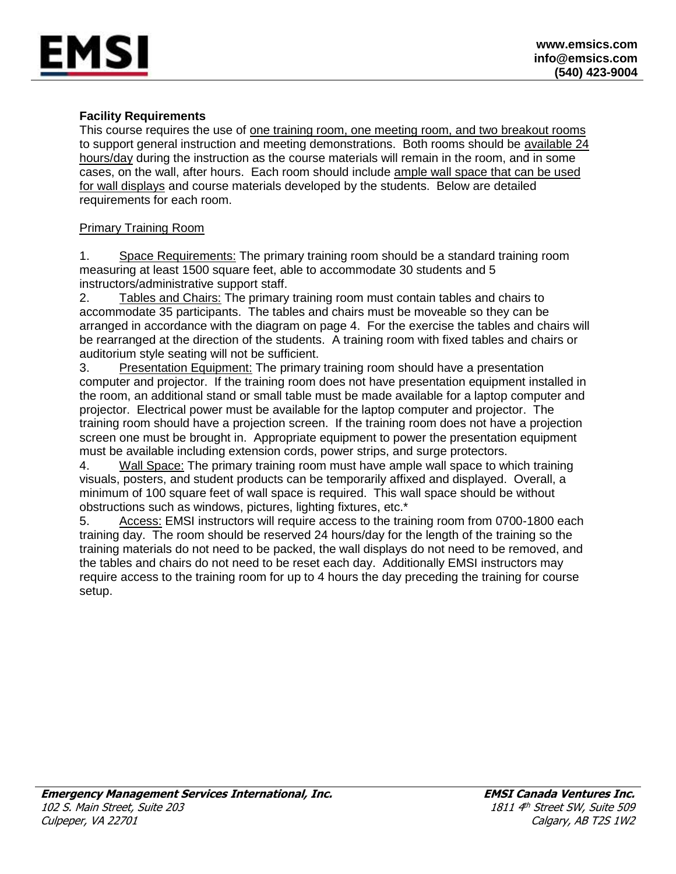#### **Facility Requirements**

MSI

This course requires the use of one training room, one meeting room, and two breakout rooms to support general instruction and meeting demonstrations. Both rooms should be available 24 hours/day during the instruction as the course materials will remain in the room, and in some cases, on the wall, after hours. Each room should include ample wall space that can be used for wall displays and course materials developed by the students. Below are detailed requirements for each room.

#### Primary Training Room

1. Space Requirements: The primary training room should be a standard training room measuring at least 1500 square feet, able to accommodate 30 students and 5 instructors/administrative support staff.

2. Tables and Chairs: The primary training room must contain tables and chairs to accommodate 35 participants. The tables and chairs must be moveable so they can be arranged in accordance with the diagram on page 4. For the exercise the tables and chairs will be rearranged at the direction of the students. A training room with fixed tables and chairs or auditorium style seating will not be sufficient.

3. Presentation Equipment: The primary training room should have a presentation computer and projector. If the training room does not have presentation equipment installed in the room, an additional stand or small table must be made available for a laptop computer and projector. Electrical power must be available for the laptop computer and projector. The training room should have a projection screen. If the training room does not have a projection screen one must be brought in. Appropriate equipment to power the presentation equipment must be available including extension cords, power strips, and surge protectors.

4. Wall Space: The primary training room must have ample wall space to which training visuals, posters, and student products can be temporarily affixed and displayed. Overall, a minimum of 100 square feet of wall space is required. This wall space should be without obstructions such as windows, pictures, lighting fixtures, etc.\*

5. Access: EMSI instructors will require access to the training room from 0700-1800 each training day. The room should be reserved 24 hours/day for the length of the training so the training materials do not need to be packed, the wall displays do not need to be removed, and the tables and chairs do not need to be reset each day. Additionally EMSI instructors may require access to the training room for up to 4 hours the day preceding the training for course setup.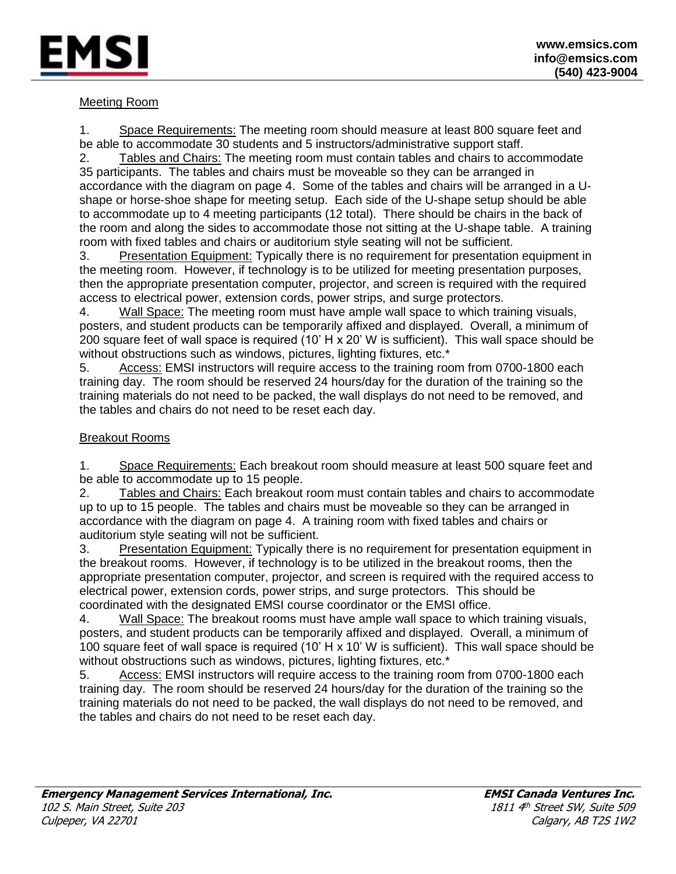

### Meeting Room

1. Space Requirements: The meeting room should measure at least 800 square feet and be able to accommodate 30 students and 5 instructors/administrative support staff.

2. Tables and Chairs: The meeting room must contain tables and chairs to accommodate 35 participants. The tables and chairs must be moveable so they can be arranged in accordance with the diagram on page 4. Some of the tables and chairs will be arranged in a Ushape or horse-shoe shape for meeting setup. Each side of the U-shape setup should be able to accommodate up to 4 meeting participants (12 total). There should be chairs in the back of the room and along the sides to accommodate those not sitting at the U-shape table. A training room with fixed tables and chairs or auditorium style seating will not be sufficient.

3. Presentation Equipment: Typically there is no requirement for presentation equipment in the meeting room. However, if technology is to be utilized for meeting presentation purposes, then the appropriate presentation computer, projector, and screen is required with the required access to electrical power, extension cords, power strips, and surge protectors.

4. Wall Space: The meeting room must have ample wall space to which training visuals, posters, and student products can be temporarily affixed and displayed. Overall, a minimum of 200 square feet of wall space is required (10' H x 20' W is sufficient). This wall space should be without obstructions such as windows, pictures, lighting fixtures, etc.<sup>\*</sup>

5. Access: EMSI instructors will require access to the training room from 0700-1800 each training day. The room should be reserved 24 hours/day for the duration of the training so the training materials do not need to be packed, the wall displays do not need to be removed, and the tables and chairs do not need to be reset each day.

#### Breakout Rooms

1. Space Requirements: Each breakout room should measure at least 500 square feet and be able to accommodate up to 15 people.

2. Tables and Chairs: Each breakout room must contain tables and chairs to accommodate up to up to 15 people. The tables and chairs must be moveable so they can be arranged in accordance with the diagram on page 4. A training room with fixed tables and chairs or auditorium style seating will not be sufficient.

3. Presentation Equipment: Typically there is no requirement for presentation equipment in the breakout rooms. However, if technology is to be utilized in the breakout rooms, then the appropriate presentation computer, projector, and screen is required with the required access to electrical power, extension cords, power strips, and surge protectors. This should be coordinated with the designated EMSI course coordinator or the EMSI office.

4. Wall Space: The breakout rooms must have ample wall space to which training visuals, posters, and student products can be temporarily affixed and displayed. Overall, a minimum of 100 square feet of wall space is required (10' H x 10' W is sufficient). This wall space should be without obstructions such as windows, pictures, lighting fixtures, etc.<sup>\*</sup>

5. Access: EMSI instructors will require access to the training room from 0700-1800 each training day. The room should be reserved 24 hours/day for the duration of the training so the training materials do not need to be packed, the wall displays do not need to be removed, and the tables and chairs do not need to be reset each day.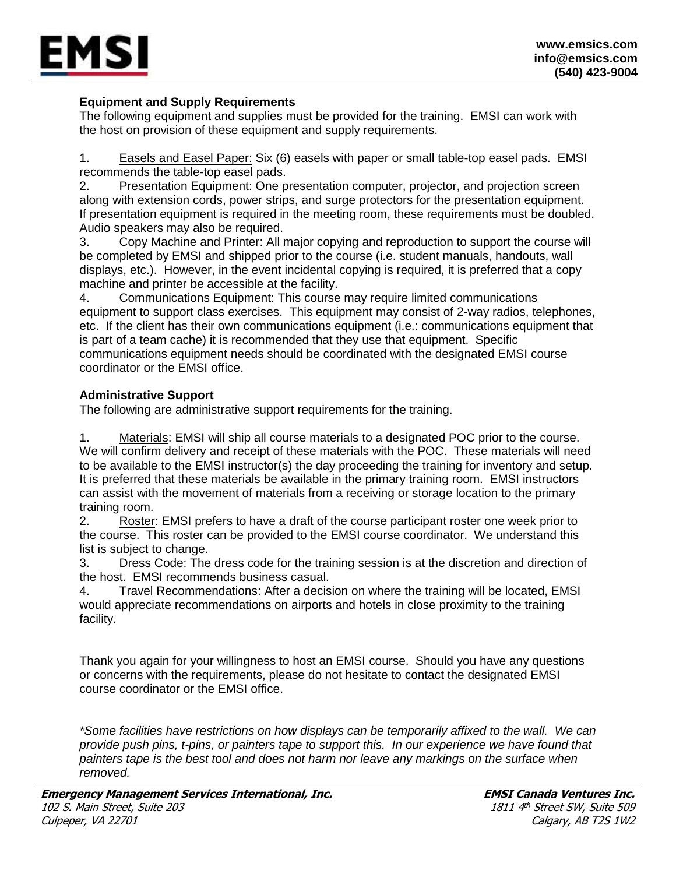

## **Equipment and Supply Requirements**

The following equipment and supplies must be provided for the training. EMSI can work with the host on provision of these equipment and supply requirements.

1. Easels and Easel Paper: Six (6) easels with paper or small table-top easel pads. EMSI recommends the table-top easel pads.

2. Presentation Equipment: One presentation computer, projector, and projection screen along with extension cords, power strips, and surge protectors for the presentation equipment. If presentation equipment is required in the meeting room, these requirements must be doubled. Audio speakers may also be required.

3. Copy Machine and Printer: All major copying and reproduction to support the course will be completed by EMSI and shipped prior to the course (i.e. student manuals, handouts, wall displays, etc.). However, in the event incidental copying is required, it is preferred that a copy machine and printer be accessible at the facility.

4. Communications Equipment: This course may require limited communications equipment to support class exercises. This equipment may consist of 2-way radios, telephones, etc. If the client has their own communications equipment (i.e.: communications equipment that is part of a team cache) it is recommended that they use that equipment. Specific communications equipment needs should be coordinated with the designated EMSI course coordinator or the EMSI office.

### **Administrative Support**

The following are administrative support requirements for the training.

1. Materials: EMSI will ship all course materials to a designated POC prior to the course. We will confirm delivery and receipt of these materials with the POC. These materials will need to be available to the EMSI instructor(s) the day proceeding the training for inventory and setup. It is preferred that these materials be available in the primary training room. EMSI instructors can assist with the movement of materials from a receiving or storage location to the primary training room.

2. Roster: EMSI prefers to have a draft of the course participant roster one week prior to the course. This roster can be provided to the EMSI course coordinator. We understand this list is subject to change.

3. Dress Code: The dress code for the training session is at the discretion and direction of the host. EMSI recommends business casual.

4. Travel Recommendations: After a decision on where the training will be located, EMSI would appreciate recommendations on airports and hotels in close proximity to the training facility.

Thank you again for your willingness to host an EMSI course. Should you have any questions or concerns with the requirements, please do not hesitate to contact the designated EMSI course coordinator or the EMSI office.

*\*Some facilities have restrictions on how displays can be temporarily affixed to the wall. We can provide push pins, t-pins, or painters tape to support this. In our experience we have found that painters tape is the best tool and does not harm nor leave any markings on the surface when removed.*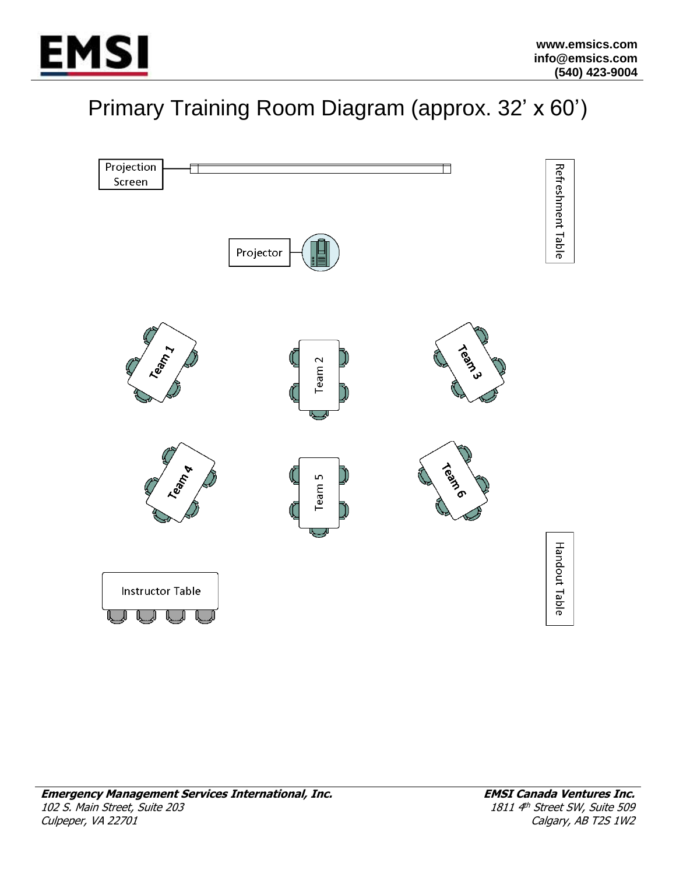

# Primary Training Room Diagram (approx. 32' x 60')

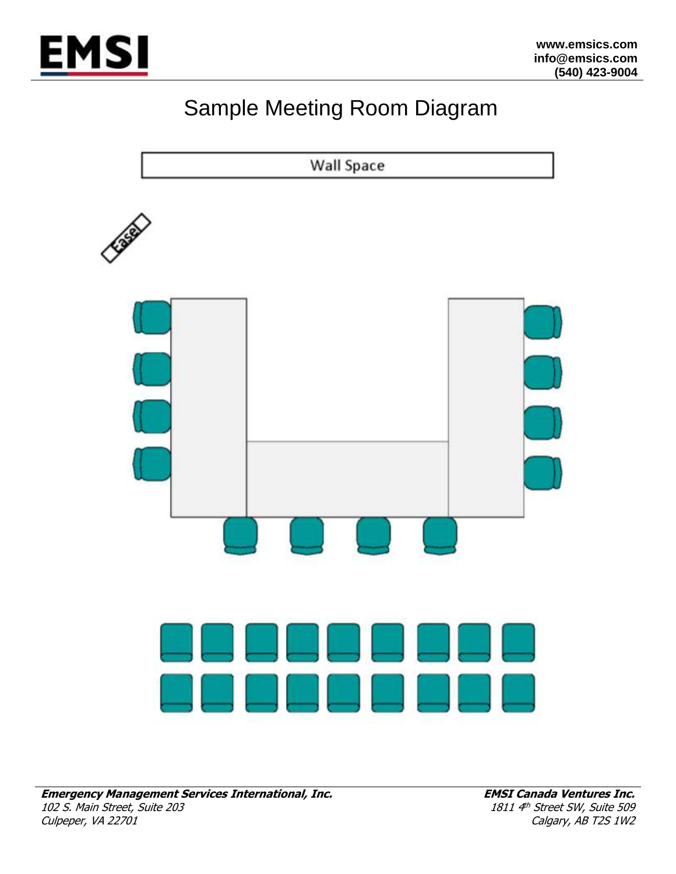

## Sample Meeting Room Diagram